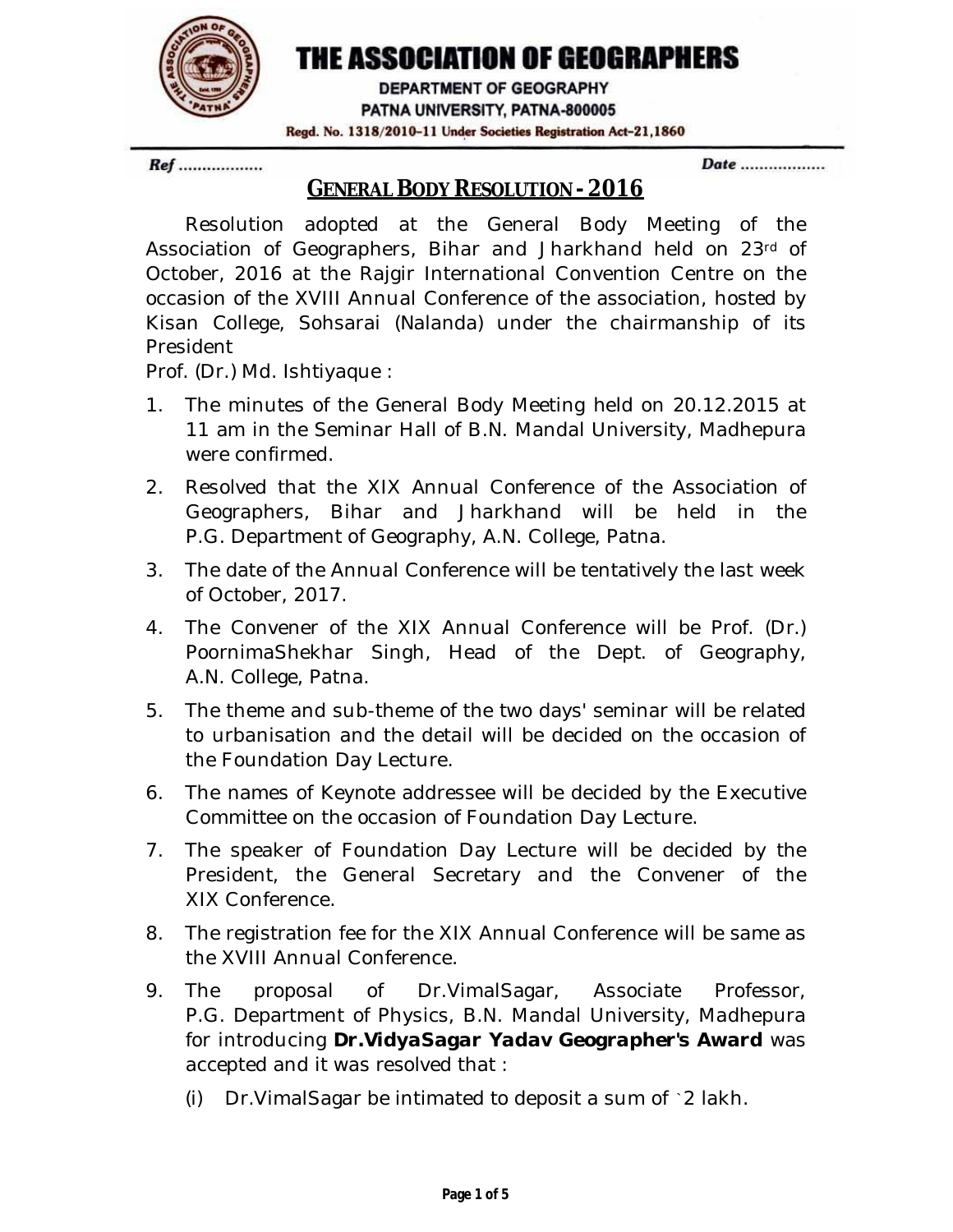

# THE ASSOCIATION OF GEOGRAPHERS

DEPARTMENT OF GEOGRAPHY PATNA UNIVERSITY, PATNA-800005 Regd. No. 1318/2010-11 Under Societies Registration Act-21,1860

Ref ..................

Date ..................

## **GENERAL BODY RESOLUTION - 2016**

Resolution adopted at the General Body Meeting of the Association of Geographers, Bihar and Jharkhand held on 23rd of October, 2016 at the Rajgir International Convention Centre on the occasion of the XVIII Annual Conference of the association, hosted by Kisan College, Sohsarai (Nalanda) under the chairmanship of its President

Prof. (Dr.) Md. Ishtiyaque :

- 1. The minutes of the General Body Meeting held on 20.12.2015 at 11 am in the Seminar Hall of B.N. Mandal University, Madhepura were confirmed.
- 2. Resolved that the XIX Annual Conference of the Association of Geographers, Bihar and Jharkhand will be held in the P.G. Department of Geography, A.N. College, Patna.
- 3. The date of the Annual Conference will be tentatively the last week of October, 2017.
- 4. The Convener of the XIX Annual Conference will be Prof. (Dr.) PoornimaShekhar Singh, Head of the Dept. of Geography, A.N. College, Patna.
- 5. The theme and sub-theme of the two days' seminar will be related to urbanisation and the detail will be decided on the occasion of the Foundation Day Lecture.
- 6. The names of Keynote addressee will be decided by the Executive Committee on the occasion of Foundation Day Lecture.
- 7. The speaker of Foundation Day Lecture will be decided by the President, the General Secretary and the Convener of the XIX Conference.
- 8. The registration fee for the XIX Annual Conference will be same as the XVIII Annual Conference.
- 9. The proposal of Dr.VimalSagar, Associate Professor, P.G. Department of Physics, B.N. Mandal University, Madhepura for introducing *Dr.VidyaSagar Yadav Geographer's Award* was accepted and it was resolved that :
	- (i) Dr.VimalSagar be intimated to deposit a sum of `2 lakh.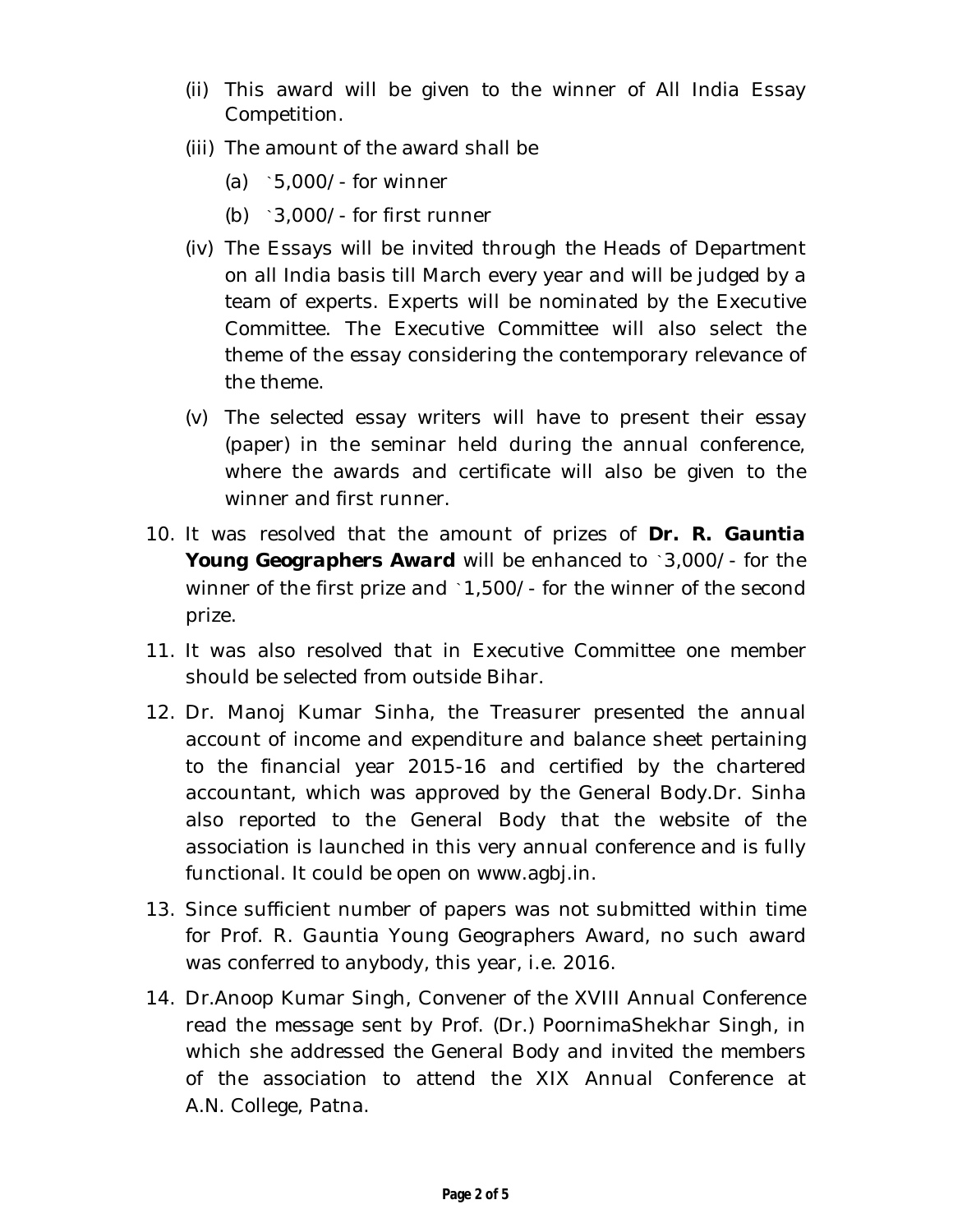- (ii) This award will be given to the winner of All India Essay Competition.
- (iii) The amount of the award shall be
	- (a) `5,000/- for winner
	- (b) `3,000/- for first runner
- (iv) The Essays will be invited through the Heads of Department on all India basis till March every year and will be judged by a team of experts. Experts will be nominated by the Executive Committee. The Executive Committee will also select the theme of the essay considering the contemporary relevance of the theme.
- (v) The selected essay writers will have to present their essay (paper) in the seminar held during the annual conference, where the awards and certificate will also be given to the winner and first runner.
- 10. It was resolved that the amount of prizes of *Dr. R. Gauntia Young Geographers Award* will be enhanced to `3,000/- for the winner of the first prize and `1,500/- for the winner of the second prize.
- 11. It was also resolved that in Executive Committee one member should be selected from outside Bihar.
- 12. Dr. Manoj Kumar Sinha, the Treasurer presented the annual account of income and expenditure and balance sheet pertaining to the financial year 2015-16 and certified by the chartered accountant, which was approved by the General Body.Dr. Sinha also reported to the General Body that the website of the association is launched in this very annual conference and is fully functional. It could be open on www.agbj.in.
- 13. Since sufficient number of papers was not submitted within time for Prof. R. Gauntia Young Geographers Award, no such award was conferred to anybody, this year, i.e. 2016.
- 14. Dr.Anoop Kumar Singh, Convener of the XVIII Annual Conference read the message sent by Prof. (Dr.) PoornimaShekhar Singh, in which she addressed the General Body and invited the members of the association to attend the XIX Annual Conference at A.N. College, Patna.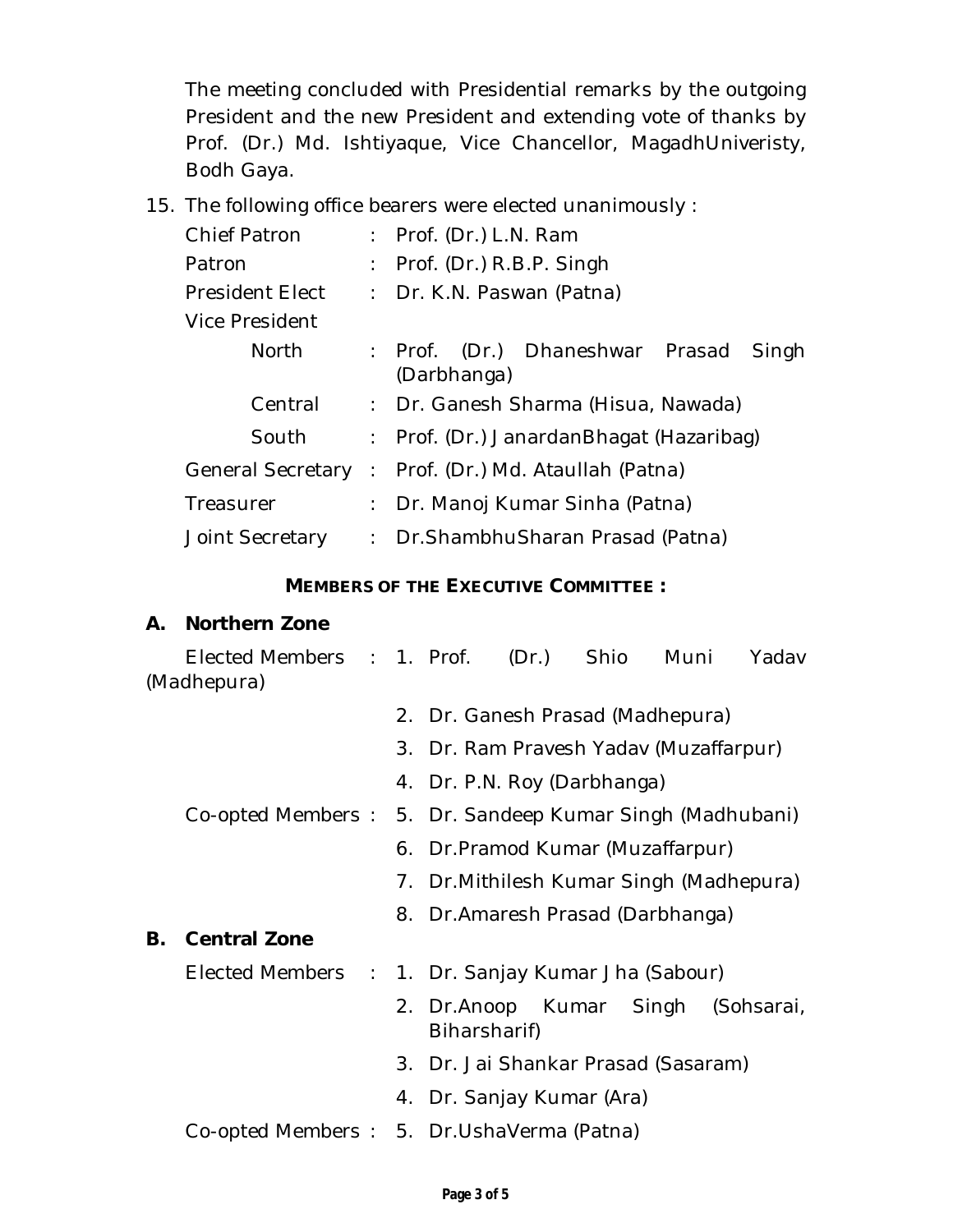The meeting concluded with Presidential remarks by the outgoing President and the new President and extending vote of thanks by Prof. (Dr.) Md. Ishtiyaque, Vice Chancellor, MagadhUniveristy, Bodh Gaya.

15. The following office bearers were elected unanimously :

| <b>Chief Patron</b>                        |  | : Prof. (Dr.) $L.N.$ Ram                                   |  |  |  |  |  |  |
|--------------------------------------------|--|------------------------------------------------------------|--|--|--|--|--|--|
| Patron                                     |  | : Prof. (Dr.) $R.B.P.$ Singh                               |  |  |  |  |  |  |
| President Elect                            |  | : Dr. K.N. Paswan (Patna)                                  |  |  |  |  |  |  |
| Vice President                             |  |                                                            |  |  |  |  |  |  |
| <b>North</b>                               |  | (Dr.) Dhaneshwar Prasad<br>: Prof.<br>Singh<br>(Darbhanga) |  |  |  |  |  |  |
| Central                                    |  | : Dr. Ganesh Sharma (Hisua, Nawada)                        |  |  |  |  |  |  |
| South                                      |  | : Prof. (Dr.) JanardanBhagat (Hazaribag)                   |  |  |  |  |  |  |
| <b>General Secretary</b>                   |  | : Prof. (Dr.) Md. Ataullah (Patna)                         |  |  |  |  |  |  |
| Treasurer<br>$\frac{1}{2}$ , $\frac{1}{2}$ |  | Dr. Manoj Kumar Sinha (Patna)                              |  |  |  |  |  |  |
| Joint Secretary                            |  | : Dr. Shambhu Sharan Prasad (Patna)                        |  |  |  |  |  |  |

#### **MEMBERS OF THE EXECUTIVE COMMITTEE :**

#### **A. Northern Zone**

|    | Elected Members : 1. Prof. (Dr.) Shio<br>(Madhepura)     |  |  |                                          |  |  | Muni | Yadav                              |  |
|----|----------------------------------------------------------|--|--|------------------------------------------|--|--|------|------------------------------------|--|
|    |                                                          |  |  | 2. Dr. Ganesh Prasad (Madhepura)         |  |  |      |                                    |  |
|    |                                                          |  |  | 3. Dr. Ram Pravesh Yadav (Muzaffarpur)   |  |  |      |                                    |  |
|    |                                                          |  |  | 4. Dr. P.N. Roy (Darbhanga)              |  |  |      |                                    |  |
|    | Co-opted Members: 5. Dr. Sandeep Kumar Singh (Madhubani) |  |  |                                          |  |  |      |                                    |  |
|    |                                                          |  |  | 6. Dr. Pramod Kumar (Muzaffarpur)        |  |  |      |                                    |  |
|    |                                                          |  |  | 7. Dr. Mithilesh Kumar Singh (Madhepura) |  |  |      |                                    |  |
|    |                                                          |  |  | 8. Dr. Amaresh Prasad (Darbhanga)        |  |  |      |                                    |  |
| В. | <b>Central Zone</b>                                      |  |  |                                          |  |  |      |                                    |  |
|    | Elected Members : 1. Dr. Sanjay Kumar Jha (Sabour)       |  |  |                                          |  |  |      |                                    |  |
|    |                                                          |  |  | Biharsharif)                             |  |  |      | 2. Dr.Anoop Kumar Singh (Sohsarai, |  |
|    |                                                          |  |  | 3. Dr. Jai Shankar Prasad (Sasaram)      |  |  |      |                                    |  |
|    |                                                          |  |  | 4. Dr. Sanjay Kumar (Ara)                |  |  |      |                                    |  |
|    | Co-opted Members: 5. Dr.UshaVerma (Patna)                |  |  |                                          |  |  |      |                                    |  |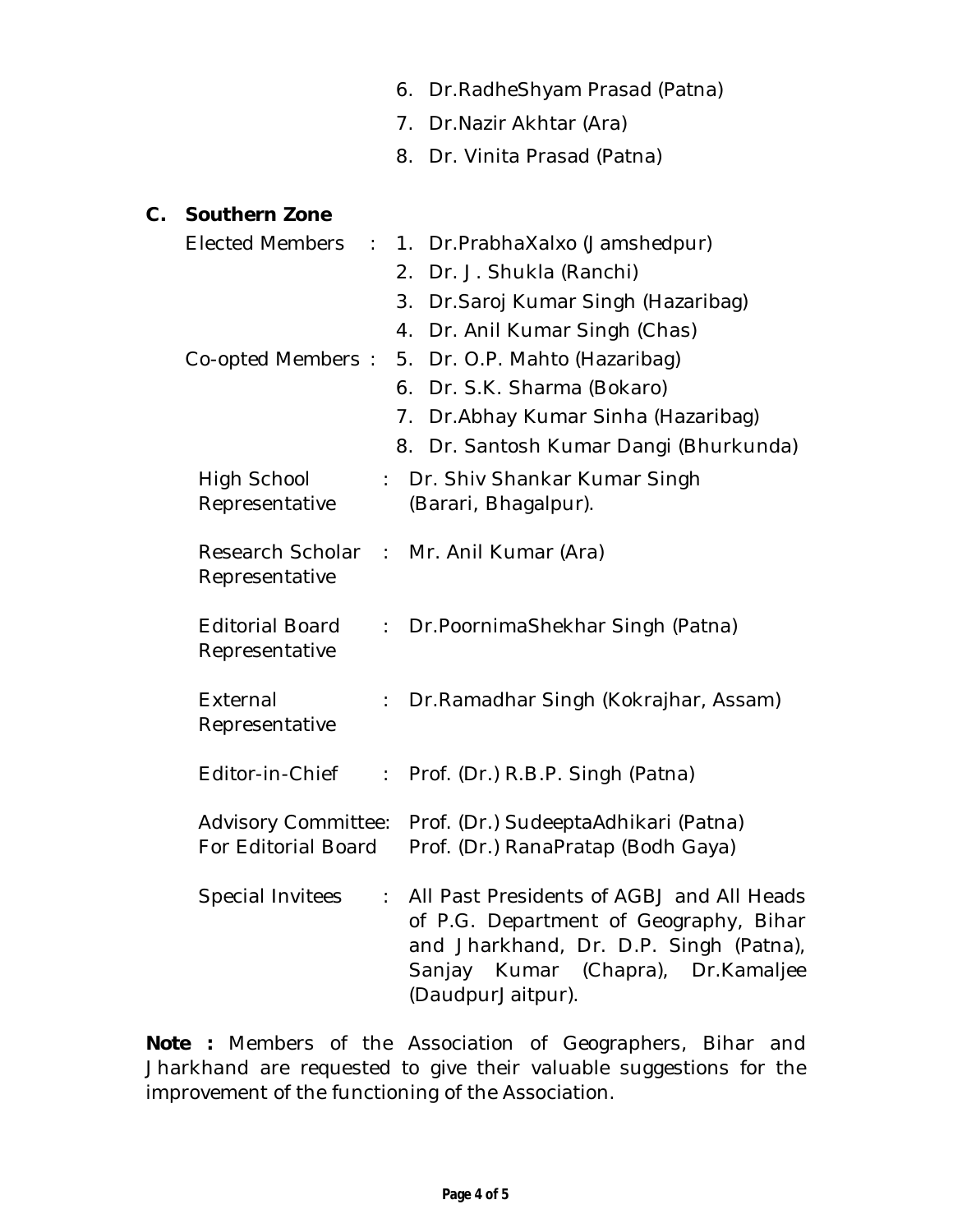|               |                                                                   | 6. Dr. Radhe Shyam Prasad (Patna)                                                                                                                                                        |
|---------------|-------------------------------------------------------------------|------------------------------------------------------------------------------------------------------------------------------------------------------------------------------------------|
|               |                                                                   | 7. Dr. Nazir Akhtar (Ara)                                                                                                                                                                |
|               |                                                                   | 8. Dr. Vinita Prasad (Patna)                                                                                                                                                             |
| $\mathsf{C}.$ | <b>Southern Zone</b>                                              |                                                                                                                                                                                          |
|               | Elected Members :                                                 | Dr.PrabhaXalxo (Jamshedpur)<br>$1_{\cdot}$                                                                                                                                               |
|               |                                                                   | 2. Dr. J. Shukla (Ranchi)                                                                                                                                                                |
|               |                                                                   | 3. Dr. Saroj Kumar Singh (Hazaribag)                                                                                                                                                     |
|               |                                                                   | 4. Dr. Anil Kumar Singh (Chas)                                                                                                                                                           |
|               |                                                                   | Co-opted Members: 5. Dr. O.P. Mahto (Hazaribag)                                                                                                                                          |
|               |                                                                   | 6. Dr. S.K. Sharma (Bokaro)                                                                                                                                                              |
|               |                                                                   | 7. Dr. Abhay Kumar Sinha (Hazaribag)                                                                                                                                                     |
|               |                                                                   | 8. Dr. Santosh Kumar Dangi (Bhurkunda)                                                                                                                                                   |
|               | High School                                                       | : Dr. Shiv Shankar Kumar Singh                                                                                                                                                           |
|               | Representative                                                    | (Barari, Bhagalpur).                                                                                                                                                                     |
|               | Representative                                                    | Research Scholar : Mr. Anil Kumar (Ara)                                                                                                                                                  |
|               | <b>Editorial Board</b><br>$\mathbb{Z}^{\times}$<br>Representative | Dr. Poornima Shekhar Singh (Patna)                                                                                                                                                       |
|               | External<br>Representative                                        | Dr. Ramadhar Singh (Kokrajhar, Assam)                                                                                                                                                    |
|               |                                                                   | Editor-in-Chief : Prof. (Dr.) R.B.P. Singh (Patna)                                                                                                                                       |
|               | <b>Advisory Committee:</b><br>For Editorial Board                 | Prof. (Dr.) SudeeptaAdhikari (Patna)<br>Prof. (Dr.) RanaPratap (Bodh Gaya)                                                                                                               |
|               | Special Invitees<br>÷.                                            | All Past Presidents of AGBJ and All Heads<br>of P.G. Department of Geography, Bihar<br>and Jharkhand, Dr. D.P. Singh (Patna),<br>Sanjay Kumar (Chapra), Dr.Kamaljee<br>(DaudpurJaitpur). |

*Note :* Members of the Association of Geographers, Bihar and Jharkhand are requested to give their valuable suggestions for the improvement of the functioning of the Association.